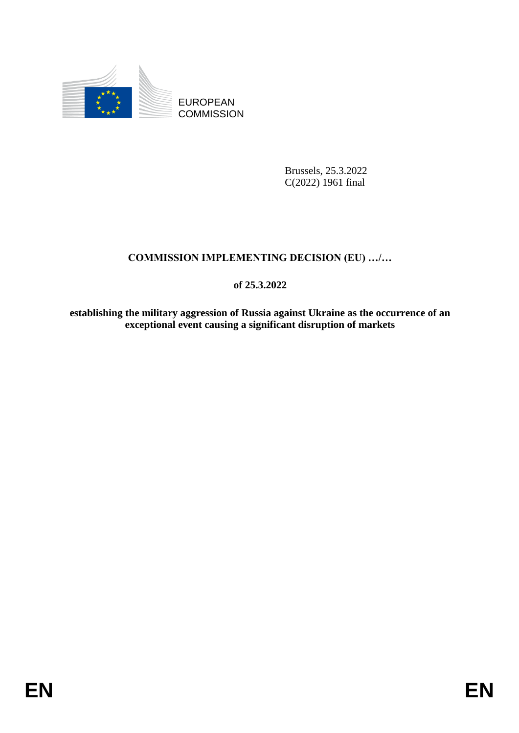

EUROPEAN **COMMISSION** 

> Brussels, 25.3.2022 C(2022) 1961 final

# **COMMISSION IMPLEMENTING DECISION (EU) …/…**

**of 25.3.2022**

**establishing the military aggression of Russia against Ukraine as the occurrence of an exceptional event causing a significant disruption of markets**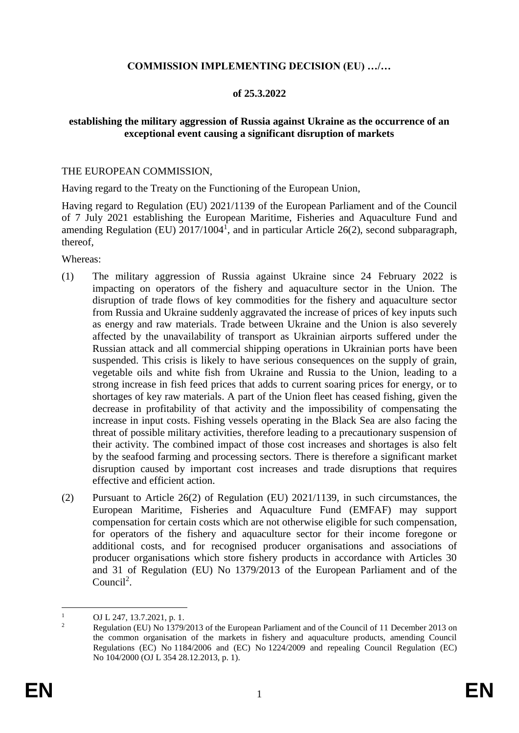## **COMMISSION IMPLEMENTING DECISION (EU) …/…**

## **of 25.3.2022**

## **establishing the military aggression of Russia against Ukraine as the occurrence of an exceptional event causing a significant disruption of markets**

#### THE EUROPEAN COMMISSION,

Having regard to the Treaty on the Functioning of the European Union,

Having regard to Regulation (EU) 2021/1139 of the European Parliament and of the Council of 7 July 2021 establishing the European Maritime, Fisheries and Aquaculture Fund and amending Regulation (EU)  $2017/1004<sup>1</sup>$ , and in particular Article 26(2), second subparagraph, thereof,

Whereas:

- (1) The military aggression of Russia against Ukraine since 24 February 2022 is impacting on operators of the fishery and aquaculture sector in the Union. The disruption of trade flows of key commodities for the fishery and aquaculture sector from Russia and Ukraine suddenly aggravated the increase of prices of key inputs such as energy and raw materials. Trade between Ukraine and the Union is also severely affected by the unavailability of transport as Ukrainian airports suffered under the Russian attack and all commercial shipping operations in Ukrainian ports have been suspended. This crisis is likely to have serious consequences on the supply of grain, vegetable oils and white fish from Ukraine and Russia to the Union, leading to a strong increase in fish feed prices that adds to current soaring prices for energy, or to shortages of key raw materials. A part of the Union fleet has ceased fishing, given the decrease in profitability of that activity and the impossibility of compensating the increase in input costs. Fishing vessels operating in the Black Sea are also facing the threat of possible military activities, therefore leading to a precautionary suspension of their activity. The combined impact of those cost increases and shortages is also felt by the seafood farming and processing sectors. There is therefore a significant market disruption caused by important cost increases and trade disruptions that requires effective and efficient action.
- (2) Pursuant to Article 26(2) of Regulation (EU) 2021/1139, in such circumstances, the European Maritime, Fisheries and Aquaculture Fund (EMFAF) may support compensation for certain costs which are not otherwise eligible for such compensation, for operators of the fishery and aquaculture sector for their income foregone or additional costs, and for recognised producer organisations and associations of producer organisations which store fishery products in accordance with Articles 30 and 31 of Regulation (EU) No 1379/2013 of the European Parliament and of the Council<sup>2</sup>.

 $\mathbf{1}$  $\frac{1}{2}$  OJ L 247, 13.7.2021, p. 1.

<sup>2</sup> Regulation (EU) No 1379/2013 of the European Parliament and of the Council of 11 December 2013 on the common organisation of the markets in fishery and aquaculture products, amending Council Regulations (EC) No 1184/2006 and (EC) No 1224/2009 and repealing Council Regulation (EC) No 104/2000 (OJ L 354 28.12.2013, p. 1).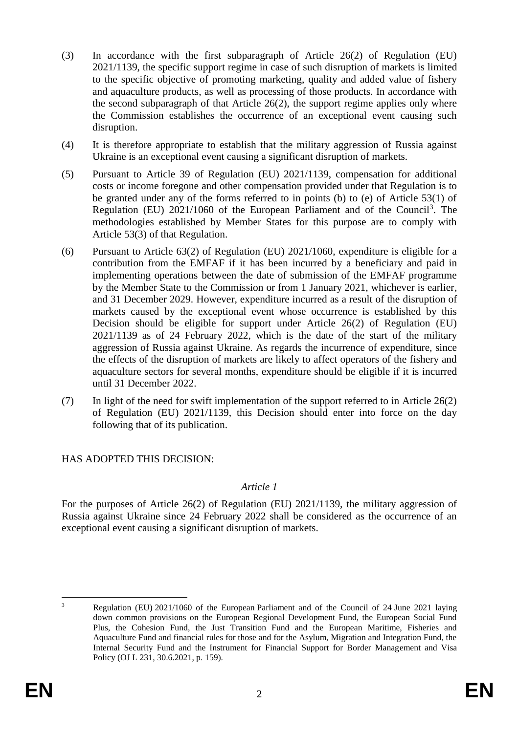- (3) In accordance with the first subparagraph of Article 26(2) of Regulation (EU) 2021/1139, the specific support regime in case of such disruption of markets is limited to the specific objective of promoting marketing, quality and added value of fishery and aquaculture products, as well as processing of those products. In accordance with the second subparagraph of that Article 26(2), the support regime applies only where the Commission establishes the occurrence of an exceptional event causing such disruption.
- (4) It is therefore appropriate to establish that the military aggression of Russia against Ukraine is an exceptional event causing a significant disruption of markets.
- (5) Pursuant to Article 39 of Regulation (EU) 2021/1139, compensation for additional costs or income foregone and other compensation provided under that Regulation is to be granted under any of the forms referred to in points (b) to (e) of Article 53(1) of Regulation (EU) 2021/1060 of the European Parliament and of the Council<sup>3</sup>. The methodologies established by Member States for this purpose are to comply with Article 53(3) of that Regulation.
- (6) Pursuant to Article 63(2) of Regulation (EU) 2021/1060, expenditure is eligible for a contribution from the EMFAF if it has been incurred by a beneficiary and paid in implementing operations between the date of submission of the EMFAF programme by the Member State to the Commission or from 1 January 2021, whichever is earlier, and 31 December 2029. However, expenditure incurred as a result of the disruption of markets caused by the exceptional event whose occurrence is established by this Decision should be eligible for support under Article 26(2) of Regulation (EU) 2021/1139 as of 24 February 2022, which is the date of the start of the military aggression of Russia against Ukraine. As regards the incurrence of expenditure, since the effects of the disruption of markets are likely to affect operators of the fishery and aquaculture sectors for several months, expenditure should be eligible if it is incurred until 31 December 2022.
- (7) In light of the need for swift implementation of the support referred to in Article 26(2) of Regulation (EU) 2021/1139, this Decision should enter into force on the day following that of its publication.

# HAS ADOPTED THIS DECISION:

### *Article 1*

For the purposes of Article 26(2) of Regulation (EU) 2021/1139, the military aggression of Russia against Ukraine since 24 February 2022 shall be considered as the occurrence of an exceptional event causing a significant disruption of markets.

<sup>1</sup> <sup>3</sup> Regulation (EU) 2021/1060 of the European Parliament and of the Council of 24 June 2021 laying down common provisions on the European Regional Development Fund, the European Social Fund Plus, the Cohesion Fund, the Just Transition Fund and the European Maritime, Fisheries and Aquaculture Fund and financial rules for those and for the Asylum, Migration and Integration Fund, the Internal Security Fund and the Instrument for Financial Support for Border Management and Visa Policy (OJ L 231, 30.6.2021, p. 159).